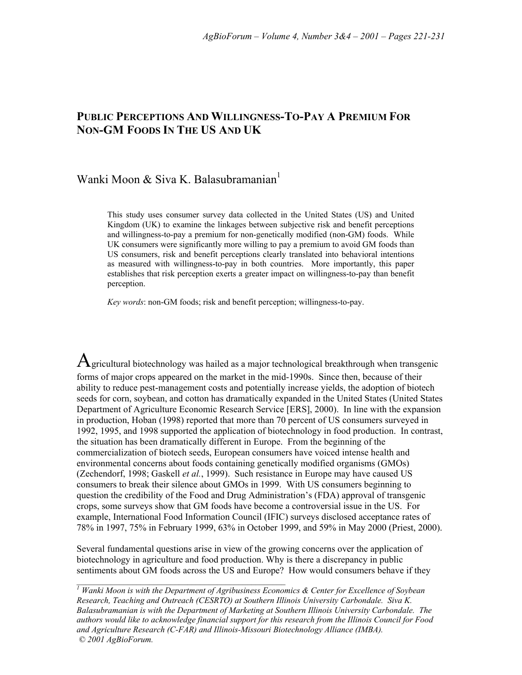# **PUBLIC PERCEPTIONS AND WILLINGNESS-TO-PAY A PREMIUM FOR NON-GM FOODS IN THE US AND UK**

# Wanki Moon & Siva K. Balasubramanian<sup>1</sup>

This study uses consumer survey data collected in the United States (US) and United Kingdom (UK) to examine the linkages between subjective risk and benefit perceptions and willingness-to-pay a premium for non-genetically modified (non-GM) foods. While UK consumers were significantly more willing to pay a premium to avoid GM foods than US consumers, risk and benefit perceptions clearly translated into behavioral intentions as measured with willingness-to-pay in both countries. More importantly, this paper establishes that risk perception exerts a greater impact on willingness-to-pay than benefit perception.

*Key words*: non-GM foods; risk and benefit perception; willingness-to-pay.

 $A$ gricultural biotechnology was hailed as a major technological breakthrough when transgenic forms of major crops appeared on the market in the mid-1990s. Since then, because of their ability to reduce pest-management costs and potentially increase yields, the adoption of biotech seeds for corn, soybean, and cotton has dramatically expanded in the United States (United States Department of Agriculture Economic Research Service [ERS], 2000). In line with the expansion in production, Hoban (1998) reported that more than 70 percent of US consumers surveyed in 1992, 1995, and 1998 supported the application of biotechnology in food production. In contrast, the situation has been dramatically different in Europe. From the beginning of the commercialization of biotech seeds, European consumers have voiced intense health and environmental concerns about foods containing genetically modified organisms (GMOs) (Zechendorf, 1998; Gaskell *et al.*, 1999). Such resistance in Europe may have caused US consumers to break their silence about GMOs in 1999. With US consumers beginning to question the credibility of the Food and Drug Administration's (FDA) approval of transgenic crops, some surveys show that GM foods have become a controversial issue in the US. For example, International Food Information Council (IFIC) surveys disclosed acceptance rates of 78% in 1997, 75% in February 1999, 63% in October 1999, and 59% in May 2000 (Priest, 2000).

Several fundamental questions arise in view of the growing concerns over the application of biotechnology in agriculture and food production. Why is there a discrepancy in public sentiments about GM foods across the US and Europe? How would consumers behave if they

*1 Wanki Moon is with the Department of Agribusiness Economics & Center for Excellence of Soybean Research, Teaching and Outreach (CESRTO) at Southern Illinois University Carbondale. Siva K. Balasubramanian is with the Department of Marketing at Southern Illinois University Carbondale. The authors would like to acknowledge financial support for this research from the Illinois Council for Food and Agriculture Research (C-FAR) and Illinois-Missouri Biotechnology Alliance (IMBA). © 2001 AgBioForum.*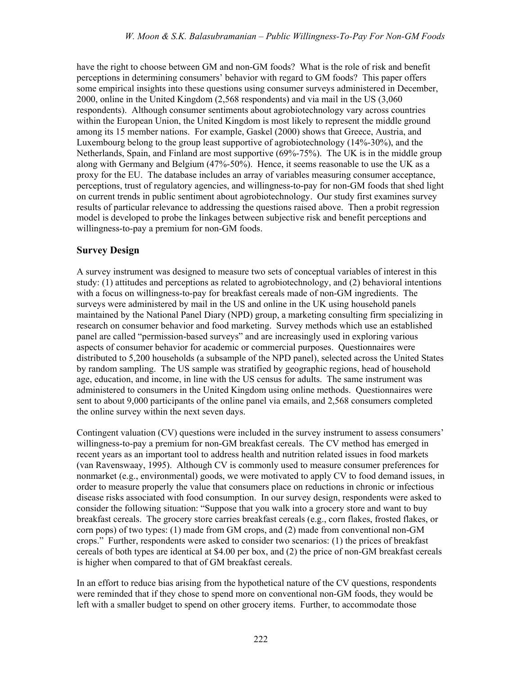have the right to choose between GM and non-GM foods? What is the role of risk and benefit perceptions in determining consumersí behavior with regard to GM foods? This paper offers some empirical insights into these questions using consumer surveys administered in December, 2000, online in the United Kingdom (2,568 respondents) and via mail in the US (3,060 respondents). Although consumer sentiments about agrobiotechnology vary across countries within the European Union, the United Kingdom is most likely to represent the middle ground among its 15 member nations. For example, Gaskel (2000) shows that Greece, Austria, and Luxembourg belong to the group least supportive of agrobiotechnology (14%-30%), and the Netherlands, Spain, and Finland are most supportive (69%-75%). The UK is in the middle group along with Germany and Belgium (47%-50%). Hence, it seems reasonable to use the UK as a proxy for the EU. The database includes an array of variables measuring consumer acceptance, perceptions, trust of regulatory agencies, and willingness-to-pay for non-GM foods that shed light on current trends in public sentiment about agrobiotechnology. Our study first examines survey results of particular relevance to addressing the questions raised above. Then a probit regression model is developed to probe the linkages between subjective risk and benefit perceptions and willingness-to-pay a premium for non-GM foods.

## **Survey Design**

A survey instrument was designed to measure two sets of conceptual variables of interest in this study: (1) attitudes and perceptions as related to agrobiotechnology, and (2) behavioral intentions with a focus on willingness-to-pay for breakfast cereals made of non-GM ingredients. The surveys were administered by mail in the US and online in the UK using household panels maintained by the National Panel Diary (NPD) group, a marketing consulting firm specializing in research on consumer behavior and food marketing. Survey methods which use an established panel are called "permission-based surveys" and are increasingly used in exploring various aspects of consumer behavior for academic or commercial purposes. Questionnaires were distributed to 5,200 households (a subsample of the NPD panel), selected across the United States by random sampling. The US sample was stratified by geographic regions, head of household age, education, and income, in line with the US census for adults. The same instrument was administered to consumers in the United Kingdom using online methods. Questionnaires were sent to about 9,000 participants of the online panel via emails, and 2,568 consumers completed the online survey within the next seven days.

Contingent valuation (CV) questions were included in the survey instrument to assess consumers' willingness-to-pay a premium for non-GM breakfast cereals. The CV method has emerged in recent years as an important tool to address health and nutrition related issues in food markets (van Ravenswaay, 1995). Although CV is commonly used to measure consumer preferences for nonmarket (e.g., environmental) goods, we were motivated to apply CV to food demand issues, in order to measure properly the value that consumers place on reductions in chronic or infectious disease risks associated with food consumption. In our survey design, respondents were asked to consider the following situation: "Suppose that you walk into a grocery store and want to buy breakfast cereals. The grocery store carries breakfast cereals (e.g., corn flakes, frosted flakes, or corn pops) of two types: (1) made from GM crops, and (2) made from conventional non-GM crops.î Further, respondents were asked to consider two scenarios: (1) the prices of breakfast cereals of both types are identical at \$4.00 per box, and (2) the price of non-GM breakfast cereals is higher when compared to that of GM breakfast cereals.

In an effort to reduce bias arising from the hypothetical nature of the CV questions, respondents were reminded that if they chose to spend more on conventional non-GM foods, they would be left with a smaller budget to spend on other grocery items. Further, to accommodate those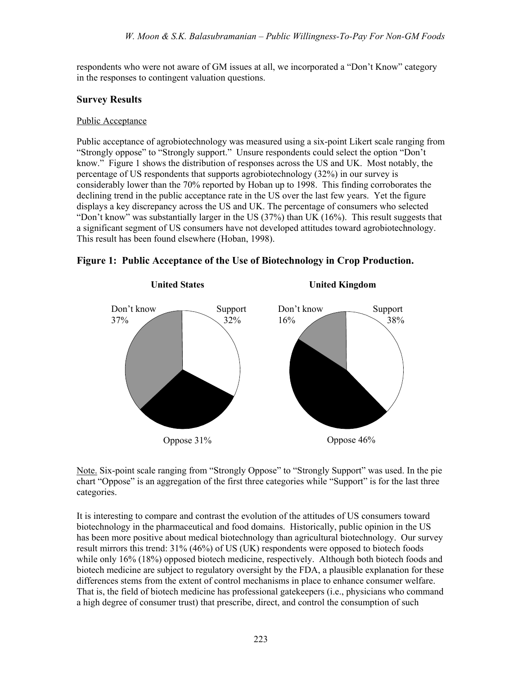respondents who were not aware of GM issues at all, we incorporated a "Don't Know" category in the responses to contingent valuation questions.

## **Survey Results**

### Public Acceptance

Public acceptance of agrobiotechnology was measured using a six-point Likert scale ranging from "Strongly oppose" to "Strongly support." Unsure respondents could select the option "Don't know.î Figure 1 shows the distribution of responses across the US and UK. Most notably, the percentage of US respondents that supports agrobiotechnology (32%) in our survey is considerably lower than the 70% reported by Hoban up to 1998. This finding corroborates the declining trend in the public acceptance rate in the US over the last few years. Yet the figure displays a key discrepancy across the US and UK. The percentage of consumers who selected "Don't know" was substantially larger in the US  $(37%)$  than UK  $(16%)$ . This result suggests that a significant segment of US consumers have not developed attitudes toward agrobiotechnology. This result has been found elsewhere (Hoban, 1998).





Note. Six-point scale ranging from "Strongly Oppose" to "Strongly Support" was used. In the pie chart "Oppose" is an aggregation of the first three categories while "Support" is for the last three categories.

It is interesting to compare and contrast the evolution of the attitudes of US consumers toward biotechnology in the pharmaceutical and food domains. Historically, public opinion in the US has been more positive about medical biotechnology than agricultural biotechnology. Our survey result mirrors this trend: 31% (46%) of US (UK) respondents were opposed to biotech foods while only 16% (18%) opposed biotech medicine, respectively. Although both biotech foods and biotech medicine are subject to regulatory oversight by the FDA, a plausible explanation for these differences stems from the extent of control mechanisms in place to enhance consumer welfare. That is, the field of biotech medicine has professional gatekeepers (i.e., physicians who command a high degree of consumer trust) that prescribe, direct, and control the consumption of such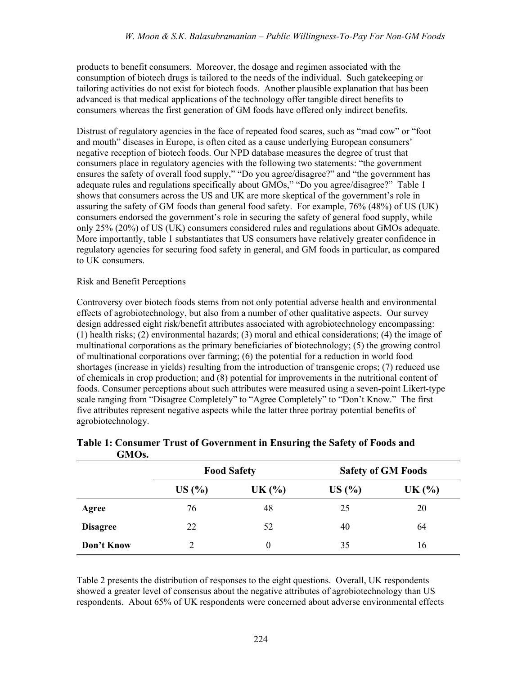products to benefit consumers. Moreover, the dosage and regimen associated with the consumption of biotech drugs is tailored to the needs of the individual. Such gatekeeping or tailoring activities do not exist for biotech foods. Another plausible explanation that has been advanced is that medical applications of the technology offer tangible direct benefits to consumers whereas the first generation of GM foods have offered only indirect benefits.

Distrust of regulatory agencies in the face of repeated food scares, such as "mad cow" or "foot and mouth<sup>"</sup> diseases in Europe, is often cited as a cause underlying European consumers' negative reception of biotech foods. Our NPD database measures the degree of trust that consumers place in regulatory agencies with the following two statements: "the government ensures the safety of overall food supply," "Do you agree/disagree?" and "the government has adequate rules and regulations specifically about GMOs," "Do you agree/disagree?" Table 1 shows that consumers across the US and UK are more skeptical of the government's role in assuring the safety of GM foods than general food safety. For example, 76% (48%) of US (UK) consumers endorsed the government's role in securing the safety of general food supply, while only 25% (20%) of US (UK) consumers considered rules and regulations about GMOs adequate. More importantly, table 1 substantiates that US consumers have relatively greater confidence in regulatory agencies for securing food safety in general, and GM foods in particular, as compared to UK consumers.

### Risk and Benefit Perceptions

Controversy over biotech foods stems from not only potential adverse health and environmental effects of agrobiotechnology, but also from a number of other qualitative aspects. Our survey design addressed eight risk/benefit attributes associated with agrobiotechnology encompassing: (1) health risks; (2) environmental hazards; (3) moral and ethical considerations; (4) the image of multinational corporations as the primary beneficiaries of biotechnology; (5) the growing control of multinational corporations over farming; (6) the potential for a reduction in world food shortages (increase in yields) resulting from the introduction of transgenic crops; (7) reduced use of chemicals in crop production; and (8) potential for improvements in the nutritional content of foods. Consumer perceptions about such attributes were measured using a seven-point Likert-type scale ranging from "Disagree Completely" to "Agree Completely" to "Don't Know." The first five attributes represent negative aspects while the latter three portray potential benefits of agrobiotechnology.

| <b>UIVIUS.</b>  |       |                    |       |                           |
|-----------------|-------|--------------------|-------|---------------------------|
|                 |       | <b>Food Safety</b> |       | <b>Safety of GM Foods</b> |
|                 | US(%) | UK $(%)$           | US(%) | UK $(%)$                  |
| Agree           | 76    | 48                 | 25    | 20                        |
| <b>Disagree</b> | 22    | 52                 | 40    | 64                        |
| Don't Know      | 2     | $\theta$           | 35    | 16                        |

|                    | Table 1: Consumer Trust of Government in Ensuring the Safety of Foods and |  |
|--------------------|---------------------------------------------------------------------------|--|
| GMO <sub>s</sub> . |                                                                           |  |

Table 2 presents the distribution of responses to the eight questions. Overall, UK respondents showed a greater level of consensus about the negative attributes of agrobiotechnology than US respondents. About 65% of UK respondents were concerned about adverse environmental effects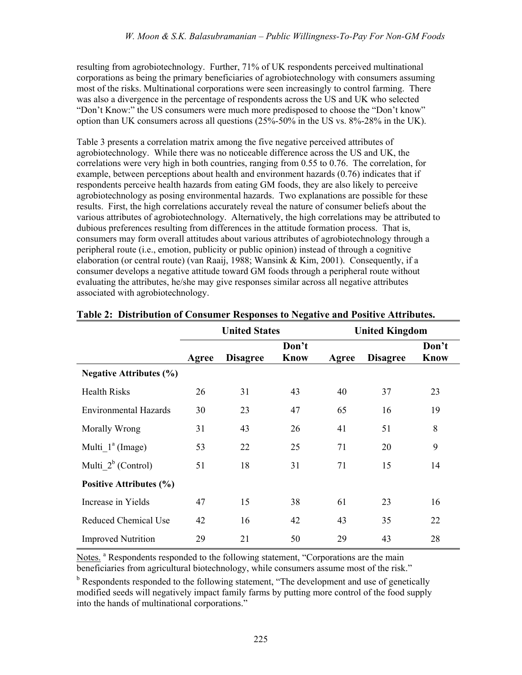resulting from agrobiotechnology. Further, 71% of UK respondents perceived multinational corporations as being the primary beneficiaries of agrobiotechnology with consumers assuming most of the risks. Multinational corporations were seen increasingly to control farming. There was also a divergence in the percentage of respondents across the US and UK who selected "Don't Know:" the US consumers were much more predisposed to choose the "Don't know" option than UK consumers across all questions (25%-50% in the US vs. 8%-28% in the UK).

Table 3 presents a correlation matrix among the five negative perceived attributes of agrobiotechnology. While there was no noticeable difference across the US and UK, the correlations were very high in both countries, ranging from 0.55 to 0.76. The correlation, for example, between perceptions about health and environment hazards (0.76) indicates that if respondents perceive health hazards from eating GM foods, they are also likely to perceive agrobiotechnology as posing environmental hazards. Two explanations are possible for these results. First, the high correlations accurately reveal the nature of consumer beliefs about the various attributes of agrobiotechnology. Alternatively, the high correlations may be attributed to dubious preferences resulting from differences in the attitude formation process. That is, consumers may form overall attitudes about various attributes of agrobiotechnology through a peripheral route (i.e., emotion, publicity or public opinion) instead of through a cognitive elaboration (or central route) (van Raaij, 1988; Wansink & Kim, 2001). Consequently, if a consumer develops a negative attitude toward GM foods through a peripheral route without evaluating the attributes, he/she may give responses similar across all negative attributes associated with agrobiotechnology.

|                                | <b>United States</b> |                 |                      | <b>United Kingdom</b> |                 |                      |
|--------------------------------|----------------------|-----------------|----------------------|-----------------------|-----------------|----------------------|
|                                | Agree                | <b>Disagree</b> | Don't<br><b>Know</b> | Agree                 | <b>Disagree</b> | Don't<br><b>Know</b> |
| <b>Negative Attributes (%)</b> |                      |                 |                      |                       |                 |                      |
| <b>Health Risks</b>            | 26                   | 31              | 43                   | 40                    | 37              | 23                   |
| <b>Environmental Hazards</b>   | 30                   | 23              | 47                   | 65                    | 16              | 19                   |
| Morally Wrong                  | 31                   | 43              | 26                   | 41                    | 51              | 8                    |
| Multi $1^a$ (Image)            | 53                   | 22              | 25                   | 71                    | 20              | 9                    |
| Multi $2^b$ (Control)          | 51                   | 18              | 31                   | 71                    | 15              | 14                   |
| Positive Attributes (%)        |                      |                 |                      |                       |                 |                      |
| Increase in Yields             | 47                   | 15              | 38                   | 61                    | 23              | 16                   |
| <b>Reduced Chemical Use</b>    | 42                   | 16              | 42                   | 43                    | 35              | 22                   |
| <b>Improved Nutrition</b>      | 29                   | 21              | 50                   | 29                    | 43              | 28                   |

#### **Table 2: Distribution of Consumer Responses to Negative and Positive Attributes.**

Notes.<sup>a</sup> Respondents responded to the following statement, "Corporations are the main beneficiaries from agricultural biotechnology, while consumers assume most of the risk.<sup>"</sup>

<sup>b</sup> Respondents responded to the following statement, "The development and use of genetically modified seeds will negatively impact family farms by putting more control of the food supply into the hands of multinational corporations.<sup>"</sup>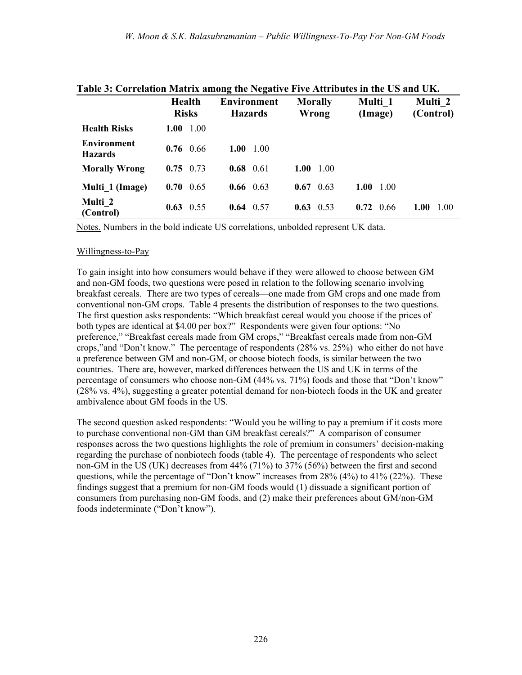| Table 5. Correlation matrix among the regative Five Attributes in the OS and OIG |                   |                    |                   |              |              |  |  |
|----------------------------------------------------------------------------------|-------------------|--------------------|-------------------|--------------|--------------|--|--|
|                                                                                  | <b>Health</b>     | <b>Environment</b> | <b>Morally</b>    | Multi 1      | Multi 2      |  |  |
|                                                                                  | <b>Risks</b>      | <b>Hazards</b>     | Wrong             | (Image)      | (Control)    |  |  |
| <b>Health Risks</b>                                                              | 1.00<br>1.00      |                    |                   |              |              |  |  |
| <b>Environment</b><br><b>Hazards</b>                                             | $0.76 \quad 0.66$ | 1.00 $1.00$        |                   |              |              |  |  |
| <b>Morally Wrong</b>                                                             | $0.75 \quad 0.73$ | $0.68$ 0.61        | 1.00<br>1.00      |              |              |  |  |
| Multi 1 (Image)                                                                  | $0.70 \quad 0.65$ | $0.66 \quad 0.63$  | $0.67 \quad 0.63$ | 1.00<br>1.00 |              |  |  |
| Multi 2<br>(Control)                                                             | $0.63 \quad 0.55$ | $0.64$ 0.57        | $0.63 \quad 0.53$ | 0.72<br>0.66 | 1.00<br>1.00 |  |  |

## **Table 3: Correlation Matrix among the Negative Five Attributes in the US and UK.**

Notes. Numbers in the bold indicate US correlations, unbolded represent UK data.

#### Willingness-to-Pay

To gain insight into how consumers would behave if they were allowed to choose between GM and non-GM foods, two questions were posed in relation to the following scenario involving breakfast cereals. There are two types of cereals—one made from GM crops and one made from conventional non-GM crops. Table 4 presents the distribution of responses to the two questions. The first question asks respondents: "Which breakfast cereal would you choose if the prices of both types are identical at \$4.00 per box?" Respondents were given four options: "No preference," "Breakfast cereals made from GM crops," "Breakfast cereals made from non-GM crops,"and "Don't know." The percentage of respondents  $(28\% \text{ vs. } 25\%)$  who either do not have a preference between GM and non-GM, or choose biotech foods, is similar between the two countries. There are, however, marked differences between the US and UK in terms of the percentage of consumers who choose non-GM  $(44\% \text{ vs. } 71\%)$  foods and those that "Don't know" (28% vs. 4%), suggesting a greater potential demand for non-biotech foods in the UK and greater ambivalence about GM foods in the US.

The second question asked respondents: "Would you be willing to pay a premium if it costs more to purchase conventional non-GM than GM breakfast cereals?" A comparison of consumer responses across the two questions highlights the role of premium in consumers' decision-making regarding the purchase of nonbiotech foods (table 4). The percentage of respondents who select non-GM in the US (UK) decreases from 44% (71%) to 37% (56%) between the first and second questions, while the percentage of "Don't know" increases from  $28\%$  (4%) to 41% (22%). These findings suggest that a premium for non-GM foods would (1) dissuade a significant portion of consumers from purchasing non-GM foods, and (2) make their preferences about GM/non-GM foods indeterminate ("Don't know").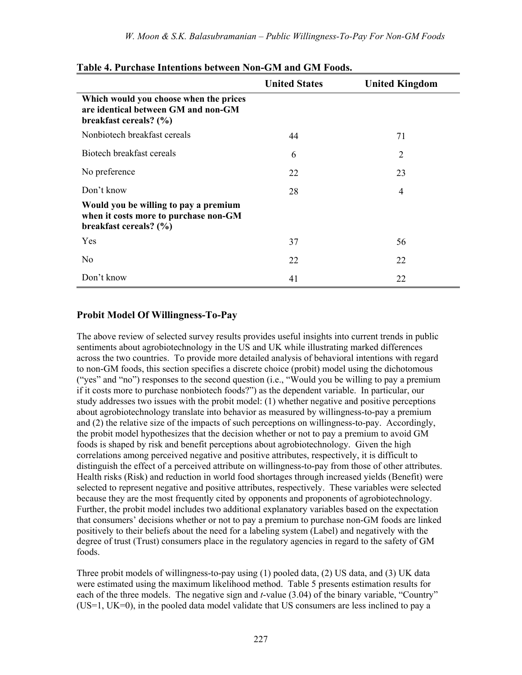|                                                                                                          | <b>United States</b> | <b>United Kingdom</b> |
|----------------------------------------------------------------------------------------------------------|----------------------|-----------------------|
| Which would you choose when the prices<br>are identical between GM and non-GM<br>breakfast cereals? (%)  |                      |                       |
| Nonbiotech breakfast cereals                                                                             | 44                   | 71                    |
| Biotech breakfast cereals                                                                                | 6                    | $\overline{2}$        |
| No preference                                                                                            | 22                   | 23                    |
| Don't know                                                                                               | 28                   | 4                     |
| Would you be willing to pay a premium<br>when it costs more to purchase non-GM<br>breakfast cereals? (%) |                      |                       |
| Yes                                                                                                      | 37                   | 56                    |
| No                                                                                                       | 22                   | 22                    |
| Don't know                                                                                               | 41                   | 22                    |

#### **Table 4. Purchase Intentions between Non-GM and GM Foods.**

### **Probit Model Of Willingness-To-Pay**

The above review of selected survey results provides useful insights into current trends in public sentiments about agrobiotechnology in the US and UK while illustrating marked differences across the two countries. To provide more detailed analysis of behavioral intentions with regard to non-GM foods, this section specifies a discrete choice (probit) model using the dichotomous ("yes" and "no") responses to the second question (i.e., "Would you be willing to pay a premium if it costs more to purchase nonbiotech foods?") as the dependent variable. In particular, our study addresses two issues with the probit model: (1) whether negative and positive perceptions about agrobiotechnology translate into behavior as measured by willingness-to-pay a premium and (2) the relative size of the impacts of such perceptions on willingness-to-pay. Accordingly, the probit model hypothesizes that the decision whether or not to pay a premium to avoid GM foods is shaped by risk and benefit perceptions about agrobiotechnology. Given the high correlations among perceived negative and positive attributes, respectively, it is difficult to distinguish the effect of a perceived attribute on willingness-to-pay from those of other attributes. Health risks (Risk) and reduction in world food shortages through increased yields (Benefit) were selected to represent negative and positive attributes, respectively. These variables were selected because they are the most frequently cited by opponents and proponents of agrobiotechnology. Further, the probit model includes two additional explanatory variables based on the expectation that consumersí decisions whether or not to pay a premium to purchase non-GM foods are linked positively to their beliefs about the need for a labeling system (Label) and negatively with the degree of trust (Trust) consumers place in the regulatory agencies in regard to the safety of GM foods.

Three probit models of willingness-to-pay using (1) pooled data, (2) US data, and (3) UK data were estimated using the maximum likelihood method. Table 5 presents estimation results for each of the three models. The negative sign and  $t$ -value  $(3.04)$  of the binary variable, "Country" (US=1, UK=0), in the pooled data model validate that US consumers are less inclined to pay a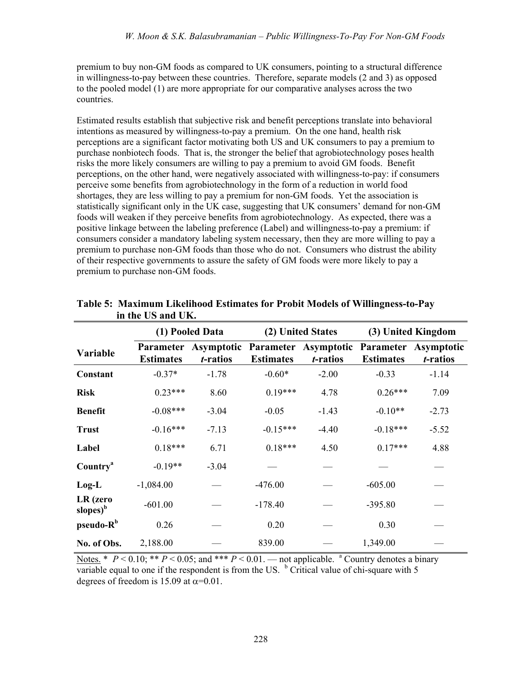premium to buy non-GM foods as compared to UK consumers, pointing to a structural difference in willingness-to-pay between these countries. Therefore, separate models (2 and 3) as opposed to the pooled model (1) are more appropriate for our comparative analyses across the two countries.

Estimated results establish that subjective risk and benefit perceptions translate into behavioral intentions as measured by willingness-to-pay a premium. On the one hand, health risk perceptions are a significant factor motivating both US and UK consumers to pay a premium to purchase nonbiotech foods. That is, the stronger the belief that agrobiotechnology poses health risks the more likely consumers are willing to pay a premium to avoid GM foods. Benefit perceptions, on the other hand, were negatively associated with willingness-to-pay: if consumers perceive some benefits from agrobiotechnology in the form of a reduction in world food shortages, they are less willing to pay a premium for non-GM foods. Yet the association is statistically significant only in the UK case, suggesting that UK consumers' demand for non-GM foods will weaken if they perceive benefits from agrobiotechnology. As expected, there was a positive linkage between the labeling preference (Label) and willingness-to-pay a premium: if consumers consider a mandatory labeling system necessary, then they are more willing to pay a premium to purchase non-GM foods than those who do not. Consumers who distrust the ability of their respective governments to assure the safety of GM foods were more likely to pay a premium to purchase non-GM foods.

|                                  | (1) Pooled Data  |                  |                  | (2) United States                                                                  | (3) United Kingdom |                  |
|----------------------------------|------------------|------------------|------------------|------------------------------------------------------------------------------------|--------------------|------------------|
| Variable                         | <b>Estimates</b> | <i>t</i> -ratios | <b>Estimates</b> | Parameter Asymptotic Parameter Asymptotic Parameter Asymptotic<br><i>t</i> -ratios | <b>Estimates</b>   | <i>t</i> -ratios |
| Constant                         | $-0.37*$         | $-1.78$          | $-0.60*$         | $-2.00$                                                                            | $-0.33$            | $-1.14$          |
| <b>Risk</b>                      | $0.23***$        | 8.60             | $0.19***$        | 4.78                                                                               | $0.26***$          | 7.09             |
| <b>Benefit</b>                   | $-0.08***$       | $-3.04$          | $-0.05$          | $-1.43$                                                                            | $-0.10**$          | $-2.73$          |
| <b>Trust</b>                     | $-0.16***$       | $-7.13$          | $-0.15***$       | $-4.40$                                                                            | $-0.18***$         | $-5.52$          |
| Label                            | $0.18***$        | 6.71             | $0.18***$        | 4.50                                                                               | $0.17***$          | 4.88             |
| Country <sup>a</sup>             | $-0.19**$        | $-3.04$          |                  |                                                                                    |                    |                  |
| $Log-L$                          | $-1,084.00$      |                  | $-476.00$        |                                                                                    | $-605.00$          |                  |
| LR (zero<br>slopes) <sup>b</sup> | $-601.00$        |                  | $-178.40$        |                                                                                    | $-395.80$          |                  |
| pseudo-R <sup>b</sup>            | 0.26             |                  | 0.20             |                                                                                    | 0.30               |                  |
| No. of Obs.                      | 2,188.00         |                  | 839.00           |                                                                                    | 1,349.00           |                  |

**Table 5: Maximum Likelihood Estimates for Probit Models of Willingness-to-Pay in the US and UK.** 

Notes. \*  $P < 0.10$ ; \*\*  $P < 0.05$ ; and \*\*\*  $P < 0.01$ . — not applicable. <sup>a</sup> Country denotes a binary variable equal to one if the respondent is from the US.  $<sup>b</sup>$  Critical value of chi-square with 5</sup> degrees of freedom is 15.09 at  $\alpha$ =0.01.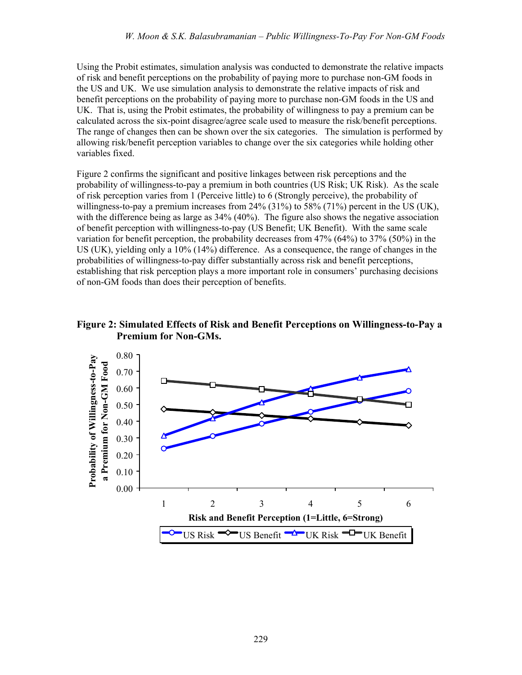Using the Probit estimates, simulation analysis was conducted to demonstrate the relative impacts of risk and benefit perceptions on the probability of paying more to purchase non-GM foods in the US and UK. We use simulation analysis to demonstrate the relative impacts of risk and benefit perceptions on the probability of paying more to purchase non-GM foods in the US and UK. That is, using the Probit estimates, the probability of willingness to pay a premium can be calculated across the six-point disagree/agree scale used to measure the risk/benefit perceptions. The range of changes then can be shown over the six categories. The simulation is performed by allowing risk/benefit perception variables to change over the six categories while holding other variables fixed.

Figure 2 confirms the significant and positive linkages between risk perceptions and the probability of willingness-to-pay a premium in both countries (US Risk; UK Risk). As the scale of risk perception varies from 1 (Perceive little) to 6 (Strongly perceive), the probability of willingness-to-pay a premium increases from 24% (31%) to 58% (71%) percent in the US (UK), with the difference being as large as  $34\%$  (40%). The figure also shows the negative association of benefit perception with willingness-to-pay (US Benefit; UK Benefit). With the same scale variation for benefit perception, the probability decreases from 47% (64%) to 37% (50%) in the US (UK), yielding only a 10% (14%) difference. As a consequence, the range of changes in the probabilities of willingness-to-pay differ substantially across risk and benefit perceptions, establishing that risk perception plays a more important role in consumers' purchasing decisions of non-GM foods than does their perception of benefits.

### **Figure 2: Simulated Effects of Risk and Benefit Perceptions on Willingness-to-Pay a Premium for Non-GMs.**

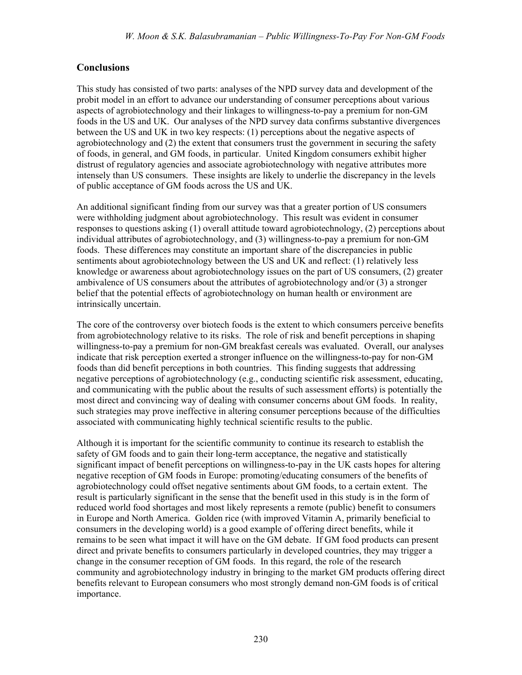## **Conclusions**

This study has consisted of two parts: analyses of the NPD survey data and development of the probit model in an effort to advance our understanding of consumer perceptions about various aspects of agrobiotechnology and their linkages to willingness-to-pay a premium for non-GM foods in the US and UK. Our analyses of the NPD survey data confirms substantive divergences between the US and UK in two key respects: (1) perceptions about the negative aspects of agrobiotechnology and (2) the extent that consumers trust the government in securing the safety of foods, in general, and GM foods, in particular. United Kingdom consumers exhibit higher distrust of regulatory agencies and associate agrobiotechnology with negative attributes more intensely than US consumers. These insights are likely to underlie the discrepancy in the levels of public acceptance of GM foods across the US and UK.

An additional significant finding from our survey was that a greater portion of US consumers were withholding judgment about agrobiotechnology. This result was evident in consumer responses to questions asking (1) overall attitude toward agrobiotechnology, (2) perceptions about individual attributes of agrobiotechnology, and (3) willingness-to-pay a premium for non-GM foods. These differences may constitute an important share of the discrepancies in public sentiments about agrobiotechnology between the US and UK and reflect: (1) relatively less knowledge or awareness about agrobiotechnology issues on the part of US consumers, (2) greater ambivalence of US consumers about the attributes of agrobiotechnology and/or (3) a stronger belief that the potential effects of agrobiotechnology on human health or environment are intrinsically uncertain.

The core of the controversy over biotech foods is the extent to which consumers perceive benefits from agrobiotechnology relative to its risks. The role of risk and benefit perceptions in shaping willingness-to-pay a premium for non-GM breakfast cereals was evaluated. Overall, our analyses indicate that risk perception exerted a stronger influence on the willingness-to-pay for non-GM foods than did benefit perceptions in both countries. This finding suggests that addressing negative perceptions of agrobiotechnology (e.g., conducting scientific risk assessment, educating, and communicating with the public about the results of such assessment efforts) is potentially the most direct and convincing way of dealing with consumer concerns about GM foods. In reality, such strategies may prove ineffective in altering consumer perceptions because of the difficulties associated with communicating highly technical scientific results to the public.

Although it is important for the scientific community to continue its research to establish the safety of GM foods and to gain their long-term acceptance, the negative and statistically significant impact of benefit perceptions on willingness-to-pay in the UK casts hopes for altering negative reception of GM foods in Europe: promoting/educating consumers of the benefits of agrobiotechnology could offset negative sentiments about GM foods, to a certain extent. The result is particularly significant in the sense that the benefit used in this study is in the form of reduced world food shortages and most likely represents a remote (public) benefit to consumers in Europe and North America. Golden rice (with improved Vitamin A, primarily beneficial to consumers in the developing world) is a good example of offering direct benefits, while it remains to be seen what impact it will have on the GM debate. If GM food products can present direct and private benefits to consumers particularly in developed countries, they may trigger a change in the consumer reception of GM foods. In this regard, the role of the research community and agrobiotechnology industry in bringing to the market GM products offering direct benefits relevant to European consumers who most strongly demand non-GM foods is of critical importance.